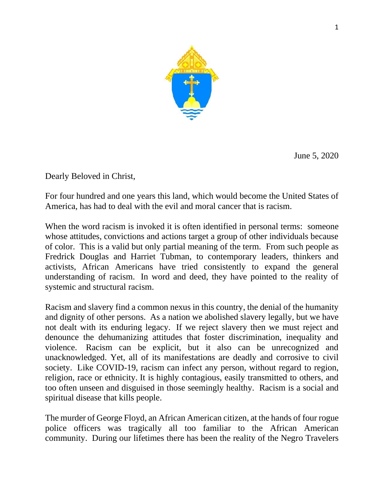

June 5, 2020

Dearly Beloved in Christ,

For four hundred and one years this land, which would become the United States of America, has had to deal with the evil and moral cancer that is racism.

When the word racism is invoked it is often identified in personal terms: someone whose attitudes, convictions and actions target a group of other individuals because of color. This is a valid but only partial meaning of the term. From such people as Fredrick Douglas and Harriet Tubman, to contemporary leaders, thinkers and activists, African Americans have tried consistently to expand the general understanding of racism. In word and deed, they have pointed to the reality of systemic and structural racism.

Racism and slavery find a common nexus in this country, the denial of the humanity and dignity of other persons. As a nation we abolished slavery legally, but we have not dealt with its enduring legacy. If we reject slavery then we must reject and denounce the dehumanizing attitudes that foster discrimination, inequality and violence. Racism can be explicit, but it also can be unrecognized and unacknowledged. Yet, all of its manifestations are deadly and corrosive to civil society. Like COVID-19, racism can infect any person, without regard to region, religion, race or ethnicity. It is highly contagious, easily transmitted to others, and too often unseen and disguised in those seemingly healthy. Racism is a social and spiritual disease that kills people.

The murder of George Floyd, an African American citizen, at the hands of four rogue police officers was tragically all too familiar to the African American community. During our lifetimes there has been the reality of the Negro Travelers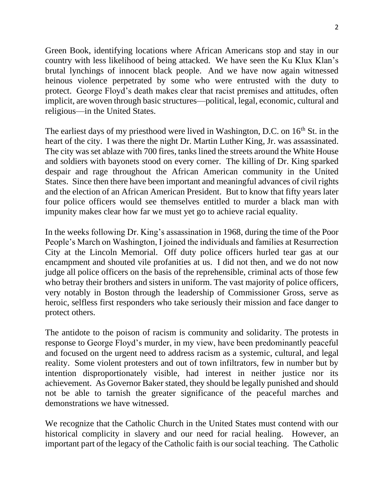2

Green Book, identifying locations where African Americans stop and stay in our country with less likelihood of being attacked. We have seen the Ku Klux Klan's brutal lynchings of innocent black people. And we have now again witnessed heinous violence perpetrated by some who were entrusted with the duty to protect. George Floyd's death makes clear that racist premises and attitudes, often implicit, are woven through basic structures—political, legal, economic, cultural and religious—in the United States.

The earliest days of my priesthood were lived in Washington, D.C. on 16<sup>th</sup> St. in the heart of the city. I was there the night Dr. Martin Luther King, Jr. was assassinated. The city was set ablaze with 700 fires, tanks lined the streets around the White House and soldiers with bayonets stood on every corner. The killing of Dr. King sparked despair and rage throughout the African American community in the United States. Since then there have been important and meaningful advances of civil rights and the election of an African American President. But to know that fifty years later four police officers would see themselves entitled to murder a black man with impunity makes clear how far we must yet go to achieve racial equality.

In the weeks following Dr. King's assassination in 1968, during the time of the Poor People's March on Washington, I joined the individuals and families at Resurrection City at the Lincoln Memorial. Off duty police officers hurled tear gas at our encampment and shouted vile profanities at us. I did not then, and we do not now judge all police officers on the basis of the reprehensible, criminal acts of those few who betray their brothers and sisters in uniform. The vast majority of police officers, very notably in Boston through the leadership of Commissioner Gross, serve as heroic, selfless first responders who take seriously their mission and face danger to protect others.

The antidote to the poison of racism is community and solidarity. The protests in response to George Floyd's murder, in my view, have been predominantly peaceful and focused on the urgent need to address racism as a systemic, cultural, and legal reality. Some violent protesters and out of town infiltrators, few in number but by intention disproportionately visible, had interest in neither justice nor its achievement. As Governor Baker stated, they should be legally punished and should not be able to tarnish the greater significance of the peaceful marches and demonstrations we have witnessed.

We recognize that the Catholic Church in the United States must contend with our historical complicity in slavery and our need for racial healing. However, an important part of the legacy of the Catholic faith is our social teaching. The Catholic